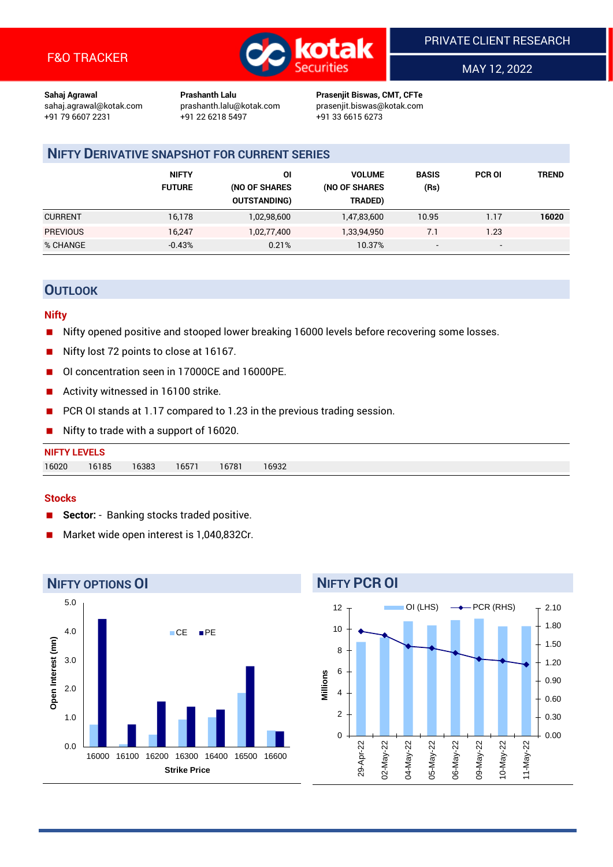

MAY 12, 2022

**Sahaj Agrawal Prashanth Lalu Prasenjit Biswas, CMT, CFTe** +91 22 6218 5497 +91 33 6615 6273

sahaj.agrawal@kotak.com [prashanth.lalu@kotak.com](mailto:prashanth.lalu@kotak.com) prasenjit.biswas@kotak.com

## **NIFTY DERIVATIVE SNAPSHOT FOR CURRENT SERIES**

|                 | <b>NIFTY</b><br><b>FUTURE</b> | 01<br>(NO OF SHARES<br><b>OUTSTANDING)</b> | <b>VOLUME</b><br>(NO OF SHARES<br>TRADED) | <b>BASIS</b><br>(Rs)     | <b>PCR OI</b> | TREND |
|-----------------|-------------------------------|--------------------------------------------|-------------------------------------------|--------------------------|---------------|-------|
| <b>CURRENT</b>  | 16,178                        | 1,02,98,600                                | 1,47,83,600                               | 10.95                    | 1.17          | 16020 |
| <b>PREVIOUS</b> | 16.247                        | 1,02,77,400                                | 1,33,94,950                               | 7.1                      | 1.23          |       |
| % CHANGE        | $-0.43%$                      | 0.21%                                      | 10.37%                                    | $\overline{\phantom{a}}$ | -             |       |

## **OUTLOOK**

#### **Nifty**

- Nifty opened positive and stooped lower breaking 16000 levels before recovering some losses.
- Nifty lost 72 points to close at 16167.
- OI concentration seen in 17000CE and 16000PE.
- Activity witnessed in 16100 strike.
- PCR OI stands at 1.17 compared to 1.23 in the previous trading session.
- Nifty to trade with a support of 16020.

| <b>NIFTY LEVELS</b> |       |       |       |       |       |  |  |  |
|---------------------|-------|-------|-------|-------|-------|--|--|--|
| 16020               | 16185 | 16383 | 16571 | 16781 | 16932 |  |  |  |

#### **Stocks**

- Sector: Banking stocks traded positive.
- Market wide open interest is 1,040,832Cr.



## **NIFTY PCR OI**

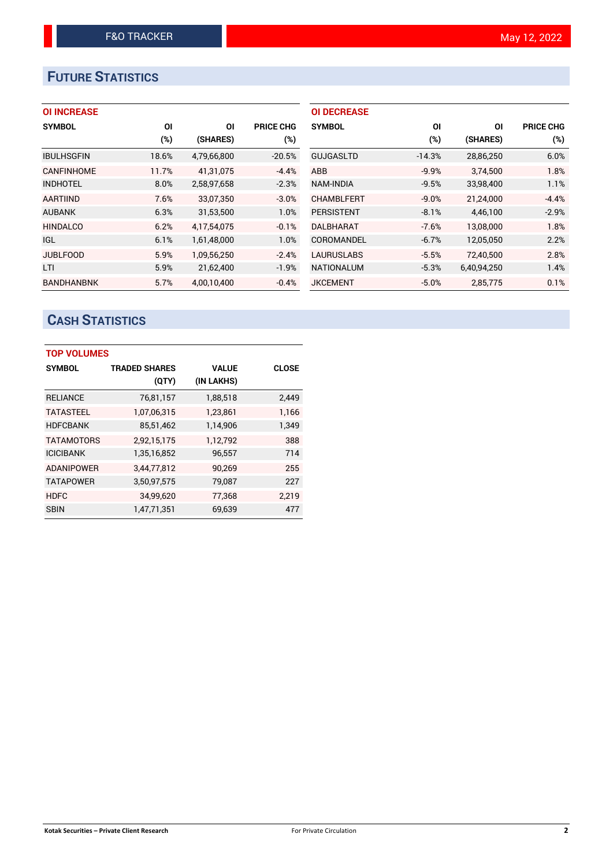# **FUTURE STATISTICS**

## **OI INCREASE**

| <b>SYMBOL</b>     | ΟI    | ΟI          | <b>PRICE CHG</b> |
|-------------------|-------|-------------|------------------|
|                   | (%)   | (SHARES)    | $(\%)$           |
| <b>IBULHSGFIN</b> | 18.6% | 4,79,66,800 | $-20.5%$         |
| <b>CANFINHOME</b> | 11.7% | 41.31.075   | $-4.4%$          |
| <b>INDHOTEL</b>   | 8.0%  | 2,58,97,658 | $-2.3%$          |
| <b>AARTIIND</b>   | 7.6%  | 33,07,350   | $-3.0%$          |
| <b>AUBANK</b>     | 6.3%  | 31,53,500   | 1.0%             |
| <b>HINDALCO</b>   | 6.2%  | 4.17.54.075 | $-0.1%$          |
| <b>IGL</b>        | 6.1%  | 1,61,48,000 | 1.0%             |
| <b>JUBLFOOD</b>   | 5.9%  | 1,09,56,250 | $-2.4%$          |
| LTI               | 5.9%  | 21,62,400   | $-1.9%$          |
| <b>BANDHANBNK</b> | 5.7%  | 4.00.10.400 | $-0.4%$          |

| <b>OI DECREASE</b> |          |             |                  |
|--------------------|----------|-------------|------------------|
| <b>SYMBOL</b>      | ΟI       | ΟI          | <b>PRICE CHG</b> |
|                    | (%)      | (SHARES)    | $(\%)$           |
| <b>GUJGASLTD</b>   | $-14.3%$ | 28,86,250   | 6.0%             |
| <b>ABB</b>         | $-9.9%$  | 3,74,500    | 1.8%             |
| <b>NAM-INDIA</b>   | $-9.5%$  | 33,98,400   | 1.1%             |
| <b>CHAMBLFERT</b>  | $-9.0%$  | 21,24,000   | $-4.4%$          |
| <b>PERSISTENT</b>  | $-8.1%$  | 4,46,100    | $-2.9%$          |
| <b>DALBHARAT</b>   | $-7.6%$  | 13,08,000   | 1.8%             |
| COROMANDEL         | $-6.7%$  | 12,05,050   | 2.2%             |
| <b>LAURUSLABS</b>  | $-5.5%$  | 72,40,500   | 2.8%             |
| <b>NATIONALUM</b>  | $-5.3%$  | 6,40,94,250 | 1.4%             |
| <b>JKCEMENT</b>    | $-5.0%$  | 2.85.775    | 0.1%             |
|                    |          |             |                  |

# **CASH STATISTICS**

| <b>TOP VOLUMES</b> |                      |              |              |  |  |  |  |
|--------------------|----------------------|--------------|--------------|--|--|--|--|
| <b>SYMBOL</b>      | <b>TRADED SHARES</b> | <b>VALUE</b> | <b>CLOSE</b> |  |  |  |  |
|                    | (QTY)                | (IN LAKHS)   |              |  |  |  |  |
| <b>RELIANCE</b>    | 76,81,157            | 1,88,518     | 2,449        |  |  |  |  |
| <b>TATASTEEL</b>   | 1,07,06,315          | 1,23,861     | 1,166        |  |  |  |  |
| <b>HDFCBANK</b>    | 85,51,462            | 1,14,906     | 1,349        |  |  |  |  |
| <b>TATAMOTORS</b>  | 2,92,15,175          | 1,12,792     | 388          |  |  |  |  |
| <b>ICICIBANK</b>   | 1,35,16,852          | 96,557       | 714          |  |  |  |  |
| <b>ADANIPOWER</b>  | 3,44,77,812          | 90,269       | 255          |  |  |  |  |
| <b>TATAPOWER</b>   | 3,50,97,575          | 79,087       | 227          |  |  |  |  |
| <b>HDFC</b>        | 34,99,620            | 77,368       | 2,219        |  |  |  |  |
| <b>SBIN</b>        | 1,47,71,351          | 69,639       | 477          |  |  |  |  |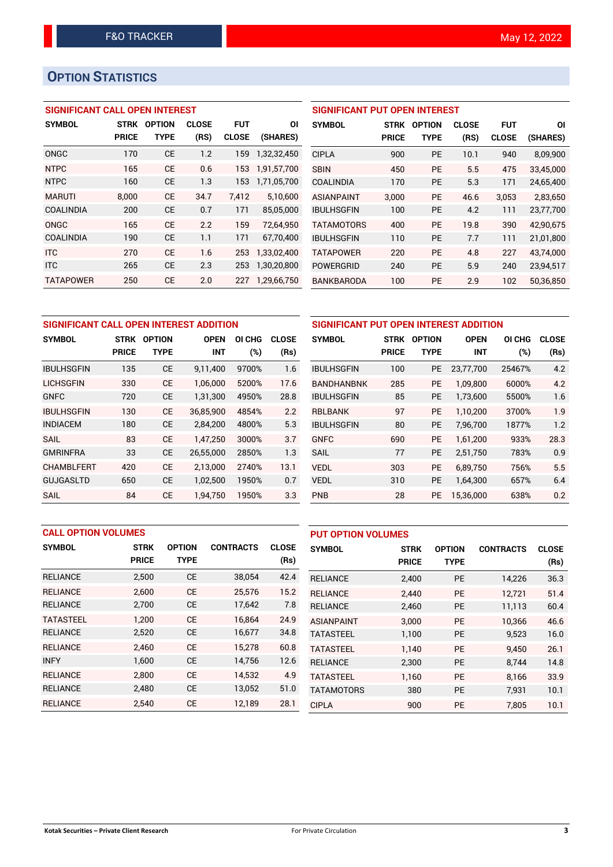# **OPTION STATISTICS**

#### **SIGNIFICANT CALL OPEN INTEREST**

| <b>SYMBOL</b>    | <b>STRK</b>  | <b>OPTION</b> | <b>CLOSE</b> | <b>FUT</b>   | ΟI          |
|------------------|--------------|---------------|--------------|--------------|-------------|
|                  | <b>PRICE</b> | TYPE          | (RS)         | <b>CLOSE</b> | (SHARES)    |
| ONGC             | 170          | <b>CE</b>     | 1.2          | 159          | 1,32,32,450 |
| <b>NTPC</b>      | 165          | CF            | 0.6          | 153          | 1,91,57,700 |
| <b>NTPC</b>      | 160          | <b>CE</b>     | 1.3          | 153          | 1,71,05,700 |
| <b>MARUTI</b>    | 8.000        | <b>CE</b>     | 34.7         | 7.412        | 5,10,600    |
| <b>COALINDIA</b> | 200          | <b>CE</b>     | 0.7          | 171          | 85,05,000   |
| ONGC             | 165          | <b>CE</b>     | 2.2          | 159          | 72,64,950   |
| <b>COALINDIA</b> | 190          | <b>CE</b>     | 1.1          | 171          | 67,70,400   |
| <b>ITC</b>       | 270          | CE            | 1.6          | 253          | 1,33,02,400 |
| <b>ITC</b>       | 265          | <b>CE</b>     | 2.3          | 253          | 1,30,20,800 |
| <b>TATAPOWER</b> | 250          | <b>CE</b>     | 2.0          | 227          | 1,29,66,750 |

#### **SIGNIFICANT PUT OPEN INTEREST**

| <b>SYMBOL</b>     | <b>STRK</b><br>PRICE | <b>OPTION</b><br>TYPE | <b>CLOSE</b><br>(RS) | FUT<br><b>CLOSE</b> | ΩI<br>(SHARES) |
|-------------------|----------------------|-----------------------|----------------------|---------------------|----------------|
| <b>CIPLA</b>      | 900                  | PF                    | 10.1                 | 940                 | 8,09,900       |
| <b>SBIN</b>       | 450                  | PF                    | 5.5                  | 475                 | 33.45.000      |
| COALINDIA         | 170                  | РF                    | 5.3                  | 171                 | 24,65,400      |
| <b>ASIANPAINT</b> | 3.000                | PF                    | 46.6                 | 3,053               | 2,83,650       |
| <b>IBULHSGFIN</b> | 100                  | PF                    | 4.2                  | 111                 | 23,77,700      |
| <b>TATAMOTORS</b> | 400                  | PF                    | 19.8                 | 390                 | 42.90.675      |
| <b>IBULHSGFIN</b> | 110                  | PF                    | 7.7                  | 111                 | 21,01,800      |
| <b>TATAPOWER</b>  | 220                  | PF                    | 4.8                  | 227                 | 43.74.000      |
| POWERGRID         | 240                  | PF                    | 5.9                  | 240                 | 23,94,517      |
| BANKBARODA        | 100                  | РE                    | 2.9                  | 102                 | 50,36,850      |

| SIGNIFICANT CALL OPEN INTEREST ADDITION |              |                              |            |        |              |  |  |  |
|-----------------------------------------|--------------|------------------------------|------------|--------|--------------|--|--|--|
| <b>SYMBOL</b>                           | <b>STRK</b>  | <b>OPTION</b><br><b>OPEN</b> |            | OI CHG | <b>CLOSE</b> |  |  |  |
|                                         | <b>PRICE</b> | <b>TYPE</b>                  | <b>INT</b> | (%)    | (Rs)         |  |  |  |
| <b>IBULHSGFIN</b>                       | 135          | <b>CE</b>                    | 9,11,400   | 9700%  | 1.6          |  |  |  |
| LICHSGFIN                               | 330          | <b>CE</b>                    | 1,06,000   | 5200%  | 17.6         |  |  |  |
| <b>GNFC</b>                             | 720          | <b>CE</b>                    | 1,31,300   | 4950%  | 28.8         |  |  |  |
| <b>IBULHSGFIN</b>                       | 130          | <b>CE</b>                    | 36.85.900  | 4854%  | 2.2          |  |  |  |
| <b>INDIACEM</b>                         | 180          | СE                           | 2,84,200   | 4800%  | 5.3          |  |  |  |
| <b>SAIL</b>                             | 83           | <b>CE</b>                    | 1,47,250   | 3000%  | 3.7          |  |  |  |
| <b>GMRINFRA</b>                         | 33           | СE                           | 26,55,000  | 2850%  | 1.3          |  |  |  |
| <b>CHAMBLFERT</b>                       | 420          | <b>CE</b>                    | 2,13,000   | 2740%  | 13.1         |  |  |  |
| GUJGASLTD                               | 650          | <b>CE</b>                    | 1,02,500   | 1950%  | 0.7          |  |  |  |
| SAIL                                    | 84           | <b>CE</b>                    | 1.94.750   | 1950%  | 3.3          |  |  |  |

| SIGNIFICANT PUT OPEN INTEREST ADDITION |              |               |             |        |              |  |  |  |
|----------------------------------------|--------------|---------------|-------------|--------|--------------|--|--|--|
| <b>SYMBOL</b>                          | <b>STRK</b>  | <b>OPTION</b> | <b>OPEN</b> | OI CHG | <b>CLOSE</b> |  |  |  |
|                                        | <b>PRICE</b> | <b>TYPE</b>   | <b>INT</b>  | $(\%)$ | (Rs)         |  |  |  |
| <b>IBULHSGFIN</b>                      | 100          | <b>PE</b>     | 23.77.700   | 25467% | 4.2          |  |  |  |
| <b>BANDHANBNK</b>                      | 285          | <b>PE</b>     | 1,09,800    | 6000%  | 4.2          |  |  |  |
| <b>IBULHSGFIN</b>                      | 85           | <b>PE</b>     | 1,73,600    | 5500%  | 1.6          |  |  |  |
| <b>RBLBANK</b>                         | 97           | <b>PE</b>     | 1,10,200    | 3700%  | 1.9          |  |  |  |
| <b>IBULHSGFIN</b>                      | 80           | <b>PE</b>     | 7,96,700    | 1877%  | 1.2          |  |  |  |
| <b>GNFC</b>                            | 690          | <b>PE</b>     | 1,61,200    | 933%   | 28.3         |  |  |  |
| <b>SAIL</b>                            | 77           | <b>PE</b>     | 2,51,750    | 783%   | 0.9          |  |  |  |
| <b>VEDL</b>                            | 303          | <b>PE</b>     | 6,89,750    | 756%   | 5.5          |  |  |  |
| <b>VEDL</b>                            | 310          | <b>PE</b>     | 1,64,300    | 657%   | 6.4          |  |  |  |
| <b>PNB</b>                             | 28           | <b>PE</b>     | 15,36,000   | 638%   | 0.2          |  |  |  |

| <b>CALL OPTION VOLUMES</b> |              |               |                  |              | <b>PUT OPTION VOLUMES</b> |              |               |                  |              |
|----------------------------|--------------|---------------|------------------|--------------|---------------------------|--------------|---------------|------------------|--------------|
| <b>SYMBOL</b>              | <b>STRK</b>  | <b>OPTION</b> | <b>CONTRACTS</b> | <b>CLOSE</b> | <b>SYMBOL</b>             | <b>STRK</b>  | <b>OPTION</b> | <b>CONTRACTS</b> | <b>CLOSE</b> |
|                            | <b>PRICE</b> | <b>TYPE</b>   |                  | (Rs)         |                           | <b>PRICE</b> | <b>TYPE</b>   |                  | (Rs)         |
| <b>RELIANCE</b>            | 2,500        | <b>CE</b>     | 38,054           | 42.4         | <b>RELIANCE</b>           | 2,400        | PE            | 14,226           | 36.3         |
| <b>RELIANCE</b>            | 2.600        | <b>CE</b>     | 25,576           | 15.2         | <b>RELIANCE</b>           | 2.440        | <b>PE</b>     | 12.721           | 51.4         |
| <b>RELIANCE</b>            | 2,700        | <b>CE</b>     | 17,642           | 7.8          | <b>RELIANCE</b>           | 2,460        | <b>PE</b>     | 11,113           | 60.4         |
| <b>TATASTEEL</b>           | 1.200        | <b>CE</b>     | 16.864           | 24.9         | <b>ASIANPAINT</b>         | 3.000        | <b>PE</b>     | 10.366           | 46.6         |
| <b>RELIANCE</b>            | 2,520        | <b>CE</b>     | 16,677           | 34.8         | <b>TATASTEEL</b>          | 1,100        | <b>PE</b>     | 9,523            | 16.0         |
| <b>RELIANCE</b>            | 2.460        | <b>CE</b>     | 15.278           | 60.8         | <b>TATASTEEL</b>          | 1.140        | <b>PE</b>     | 9.450            | 26.1         |
| <b>INFY</b>                | 1,600        | <b>CE</b>     | 14,756           | 12.6         | <b>RELIANCE</b>           | 2,300        | <b>PE</b>     | 8.744            | 14.8         |
| <b>RELIANCE</b>            | 2.800        | <b>CE</b>     | 14,532           | 4.9          | <b>TATASTEEL</b>          | 1,160        | <b>PE</b>     | 8,166            | 33.9         |
| <b>RELIANCE</b>            | 2,480        | <b>CE</b>     | 13,052           | 51.0         | <b>TATAMOTORS</b>         | 380          | PE            | 7,931            | 10.1         |
| <b>RELIANCE</b>            | 2,540        | <b>CE</b>     | 12,189           | 28.1         | <b>CIPLA</b>              | 900          | PE            | 7.805            | 10.1         |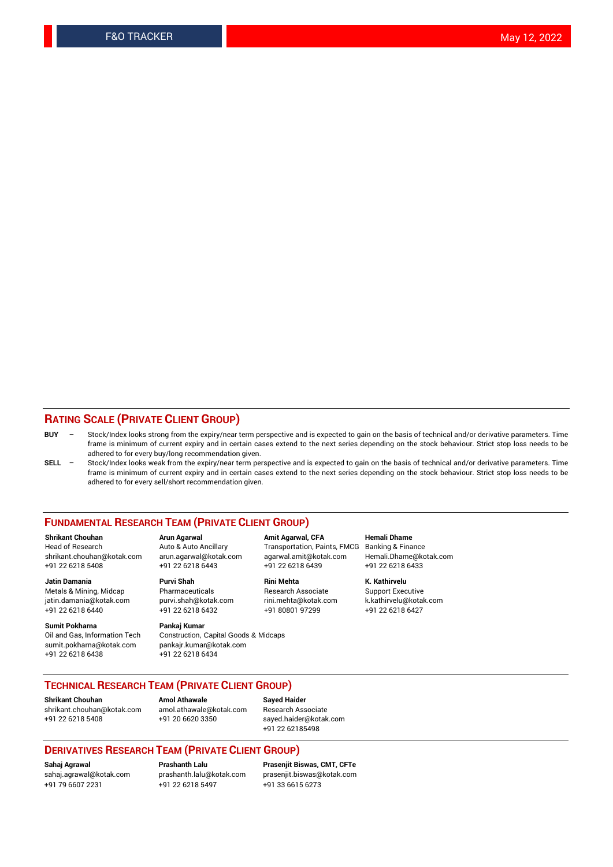#### **RATING SCALE (PRIVATE CLIENT GROUP)**

- **BUY**  Stock/Index looks strong from the expiry/near term perspective and is expected to gain on the basis of technical and/or derivative parameters. Time frame is minimum of current expiry and in certain cases extend to the next series depending on the stock behaviour. Strict stop loss needs to be adhered to for every buy/long recommendation given.
- **SELL** Stock/Index looks weak from the expiry/near term perspective and is expected to gain on the basis of technical and/or derivative parameters. Time frame is minimum of current expiry and in certain cases extend to the next series depending on the stock behaviour. Strict stop loss needs to be adhered to for every sell/short recommendation given.

#### **FUNDAMENTAL RESEARCH TEAM (PRIVATE CLIENT GROUP)**

**Shrikant Chouhan Arun Agarwal Amit Agarwal, CFA Hemali Dhame** shrikant.chouhan@kotak.com arun.agarwal@kotak.com agarwal.amit@kotak.com Hemali.Dhame@kotak.com +91 22 6218 5408 +91 22 6218 6443 +91 22 6218 6439 +91 22 6218 6433

Metals & Mining, Midcap Pharmaceuticals Pharmaceuticals Research Associate Support Executive<br>
iatin.damania@kotak.com purvi.shah@kotak.com rini.mehta@kotak.com k.kathirvelu@kotak.com jatin.damania@kotak.com

**Sumit Pokharna** Pankaj Kumar<br>Oil and Gas, Information Tech Construction, sumit.pokharna@kotak.com pankajr.kumar@kotak.com +91 22 6218 6438 +91 22 6218 6434

**Jatin Damania Purvi Shah Rini Mehta K. Kathirvelu**

Construction, Capital Goods & Midcaps

Transportation, Paints, FMCG

+91 22 6218 6440 +91 22 6218 6432 +91 80801 97299 +91 22 6218 6427

#### **TECHNICAL RESEARCH TEAM (PRIVATE CLIENT GROUP)**

**Shrikant Chouhan Amol Athawale Sayed Haider** [shrikant.chouhan@kotak.com](mailto:shrikant.chouhan@kotak.com) [amol.athawale@kotak.com](mailto:amol.athawale@kotak.com) Research Associate +91 22 6218 5408 +91 20 6620 3350 [sayed.haider@kotak.com](mailto:sayed.haider@kotak.com)

+91 22 62185498

#### **DERIVATIVES RESEARCH TEAM (PRIVATE CLIENT GROUP)**

+91 79 6607 2231 +91 22 6218 5497 +91 33 6615 6273

**Sahaj Agrawal Prashanth Lalu Prasenjit Biswas, CMT, CFTe** [prasenjit.biswas@kotak.com](mailto:prasenjit.biswas@kotak.com)